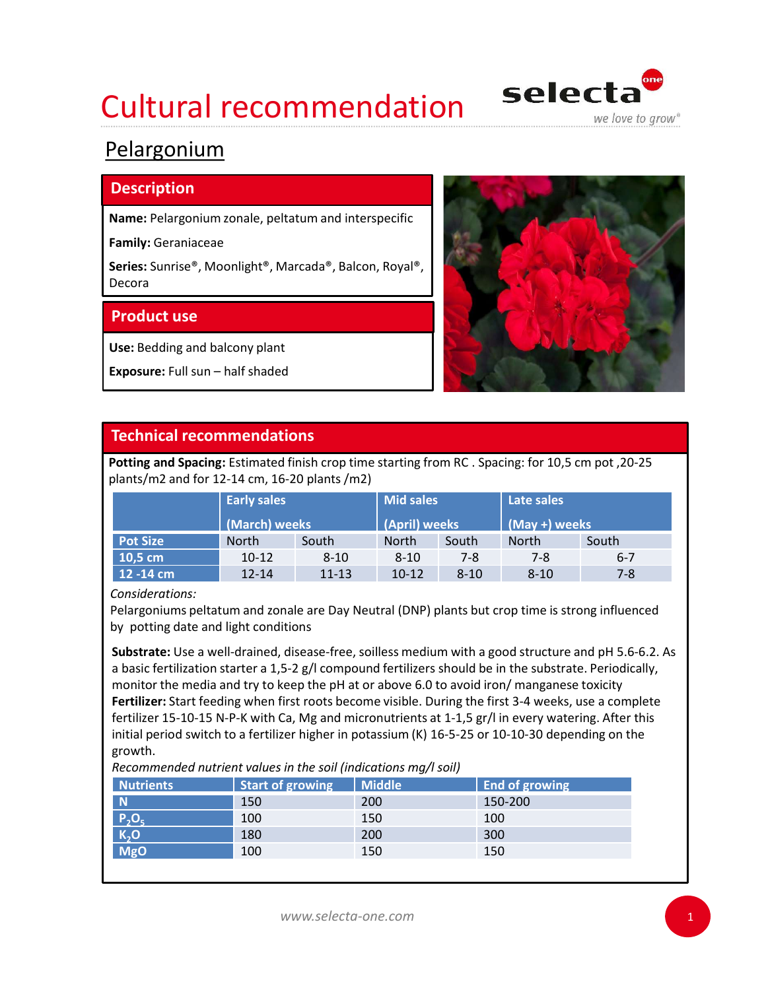# Cultural recommendation selecta



## Pelargonium

### Description



| <b>Family: Geraniaceae</b><br>Series: Sunrise®, Moonlight®, Marcada®, Balcon, Royal®,<br>Decora                                                        |                                                                                                                                                                                                        |           |                  |          |               |                                                                                                                                                                                                                       |  |
|--------------------------------------------------------------------------------------------------------------------------------------------------------|--------------------------------------------------------------------------------------------------------------------------------------------------------------------------------------------------------|-----------|------------------|----------|---------------|-----------------------------------------------------------------------------------------------------------------------------------------------------------------------------------------------------------------------|--|
| <b>Product use</b>                                                                                                                                     |                                                                                                                                                                                                        |           |                  |          |               |                                                                                                                                                                                                                       |  |
| Use: Bedding and balcony plant                                                                                                                         |                                                                                                                                                                                                        |           |                  |          |               |                                                                                                                                                                                                                       |  |
|                                                                                                                                                        | <b>Exposure:</b> Full sun - half shaded                                                                                                                                                                |           |                  |          |               |                                                                                                                                                                                                                       |  |
|                                                                                                                                                        |                                                                                                                                                                                                        |           |                  |          |               |                                                                                                                                                                                                                       |  |
|                                                                                                                                                        | <b>Technical recommendations</b>                                                                                                                                                                       |           |                  |          |               |                                                                                                                                                                                                                       |  |
| Potting and Spacing: Estimated finish crop time starting from RC. Spacing: for 10,5 cm pot, 20-25<br>plants/m2 and for $12-14$ cm, $16-20$ plants /m2) |                                                                                                                                                                                                        |           |                  |          |               |                                                                                                                                                                                                                       |  |
|                                                                                                                                                        | <b>Early sales</b>                                                                                                                                                                                     |           | <b>Mid sales</b> |          | Late sales    |                                                                                                                                                                                                                       |  |
|                                                                                                                                                        | (March) weeks                                                                                                                                                                                          |           | (April) weeks    |          | (May +) weeks |                                                                                                                                                                                                                       |  |
| <b>Pot Size</b>                                                                                                                                        | <b>North</b>                                                                                                                                                                                           | South     | <b>North</b>     | South    | <b>North</b>  | South                                                                                                                                                                                                                 |  |
| 10,5 cm                                                                                                                                                | $10-12$                                                                                                                                                                                                | $8 - 10$  | $8 - 10$         | $7 - 8$  | $7 - 8$       | $6 - 7$                                                                                                                                                                                                               |  |
| 12-14 cm<br>Considerations:                                                                                                                            | $12 - 14$                                                                                                                                                                                              | $11 - 13$ | $10 - 12$        | $8 - 10$ | $8 - 10$      | $7 - 8$                                                                                                                                                                                                               |  |
|                                                                                                                                                        |                                                                                                                                                                                                        |           |                  |          |               | Pelargoniums peltatum and zonale are Day Neutral (DNP) plants but crop time is strong influenced                                                                                                                      |  |
|                                                                                                                                                        | by potting date and light conditions                                                                                                                                                                   |           |                  |          |               |                                                                                                                                                                                                                       |  |
|                                                                                                                                                        | a basic fertilization starter a 1,5-2 g/l compound fertilizers should be in the substrate. Periodically,<br>monitor the media and try to keep the pH at or above 6.0 to avoid iron/ manganese toxicity |           |                  |          |               | Substrate: Use a well-drained, disease-free, soilless medium with a good structure and pH 5.6-6.2. As<br><b>Fertilizer:</b> Start feeding when first roots become visible. During the first 3-4 weeks, use a complete |  |

Substrate: Use a well-drained, disease-free, soilless medium with a good structure and pH 5.6-6.2. As a basic fertilization starter a 1,5-2 g/l compound fertilizers should be in the substrate. Periodically, monitor the media and try to keep the pH at or above 6.0 to avoid iron/ manganese toxicity Fertilizer: Start feeding when first roots become visible. During the first 3-4 weeks, use a complete fertilizer 15-10-15 N-P-K with Ca, Mg and micronutrients at 1-1,5 gr/l in every watering. After this initial period switch to a fertilizer higher in potassium (K) 16-5-25 or 10-10-30 depending on the growth. ants/m2 and for 12-14 cm, 16-20 plants /m2)<br>
Farily sales<br>
Pot Size<br>
North South Court of Mid sales<br>
North South North South North South North South North South North South North South North South North South North South Early sales<br>
Pot Size (March) weeks<br>
(April) weeks<br>
10.5 cm<br>
10.142 8-10 8-10 7-8 7-8 6-7<br>
12-14 11-13 10-12 8-10 7-8<br>
12:14 11-13 10-12 8-10 7-8<br>
12:14 11-13 10-12 8-10 7-8<br>
12:14 11-13 10-12 8-10 7-8<br>
12:14 11-13 10-12 8 From the solution of the solution of the solution of the solution of the solution of the solution of the solution of the solution of the solution of the solution of the solution of the solution of the solution of the solu Pot Size Morth South (April) weeks<br>
Pot Size Morth South (April) weeks<br>
10.5 cm<br>
10.12 8-10 8-10 7-8 7-8 6-7<br>
12-14 11-13 10-12 8-10 8-10 7-8<br>
12-14 11-13 10-12 8-10 8-10 7-8<br>
elargoniums peltatum and zonale are Day Neutr Pot Size<br>
10.5 cm<br>
10.4 12 at 00th<br>
10.5 cm<br>
10.4 12 at 10 at 10 at 10 at 10 at 10 at 10 at 10 at 10 at 10 at 10 at 10 at 10<br>
10.5 cm<br>
10.4 2 at 10 at 11.3 at 10.4 2 at 10 at 10.4 2 at 10 at 16.6 cm<br>
10.4 at 11.3 at 10.4 2

Recommended nutrient values in the soil (indications mg/l soil)

| <b>Nutrients</b> | <b>Start of growing</b> | Middle | <b>End of growing</b> |
|------------------|-------------------------|--------|-----------------------|
| N                | 150                     | 200    | 150-200               |
| $P, O_s$         | 100                     | 150    | 100                   |
| K, O             | 180                     | 200    | 300                   |
| <b>MgO</b>       | 100                     | 150    | 150                   |
|                  |                         |        |                       |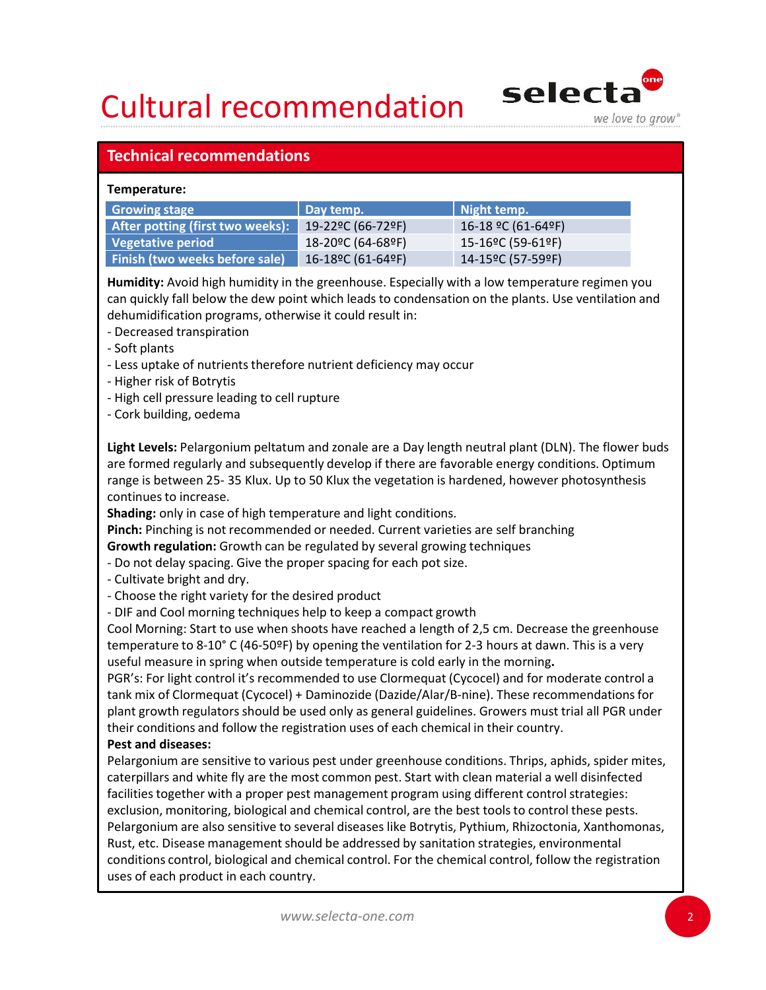## Cultural recommendation selecta



### Temperature:

| <b>Cultural recommendation</b>                                                                                                                                                                                                                                                                 |                                                                          | selecta                                                                     |                  |
|------------------------------------------------------------------------------------------------------------------------------------------------------------------------------------------------------------------------------------------------------------------------------------------------|--------------------------------------------------------------------------|-----------------------------------------------------------------------------|------------------|
| <b>Technical recommendations</b>                                                                                                                                                                                                                                                               |                                                                          |                                                                             | we love to grow® |
| Temperature:                                                                                                                                                                                                                                                                                   |                                                                          |                                                                             |                  |
| <b>Growing stage</b><br>After potting (first two weeks):<br><b>Vegetative period</b><br>Finish (two weeks before sale)                                                                                                                                                                         | Day temp.<br>19-22°C (66-72°F)<br>18-20°C (64-68°F)<br>16-18°C (61-64°F) | Night temp.<br>16-18 °C (61-64°F)<br>15-16°C (59-61°F)<br>14-15°C (57-59°F) |                  |
| Humidity: Avoid high humidity in the greenhouse. Especially with a low temperature regimen you<br>can quickly fall below the dew point which leads to condensation on the plants. Use ventilation and<br>dehumidification programs, otherwise it could result in:<br>- Decreased transpiration |                                                                          | - Less uptake of nutrients therefore nutrient deficiency may occur          |                  |

- 
- 
- 
- 
- 
- 

**Technical recommendations**<br> **Comming stage**<br> **Comming stage**<br> **Comming Comming Comming Comming Comming Comming Comming Comming Comming Comming Comming Comming Comming Comming Comming Comming Comming Comming Comming Commin** are formed regularly and subsequently develop if there are favorable energy conditions. Optimum **Temperature:**  $\begin{array}{|l|l|}\n \hline \textbf{Growing stage} & \textbf{Day termp.} & \textbf{Night termp.} \\
 \hline \textbf{After putting (first two weeks):} & 19-222 \text{ (66-688F)} & 15-16 \text{°C (59-618F)} \\
 \hline \textbf{Yegetative period} & 18-20 \text{°C (64-688F)} & 15-16 \text{°C (59-618F)} \\
 \hline \textbf{Finally (two weeks before sale) } & 16-18 \text{°C (61-649F)} & 14-15 \text{°$ continues to increase. Finish (two weeks before sale) 16-189C (61-64ºF) 14-15ºC (57-59ºF)<br>
Humidity: Avoid high humidity in the greenhouse. Especially with a low temperat<br>
can quickly fall below the dew point which leads to condensation on the p **Humidity:** Avoid high humidity in the greenhouse. Especially with a low ter<br>can quickly fall below the dew point which leads to condensation on the pla<br>dehumidification programs, otherwise it could result in:<br>- Sort plant Hummatry: Avolan hap nummatry in the greenhouse. Especially with a low ter<br>can quickly fall below the dew point which leads to condensation on the pla<br>dehumidification programs, otherwise it could result in:<br>- Decreased tr can quickly Tail Delow the Gew point winch leads to condensation on the plants. Use ventilation and<br>dehumidification programs, otherwise it could result in:<br>- Socre plants<br>- Less uptake of nutrients therefore nutrient defi

Shading: only in case of high temperature and light conditions.

Pinch: Pinching is not recommended or needed. Current varieties are self branching

Growth regulation: Growth can be regulated by several growing techniques

- 
- 
- 
- 

Cool Morning: Start to use when shoots have reached a length of 2,5 cm. Decrease the greenhouse

- Decrease transpiration<br>
- Soft plants<br>
- Lets uptake of nutrients therefore nutrient deficiency may occur<br>
- Higher risk of Botrytis<br>
- Higher alist Colliding, oedema<br>
Light Levels: Pelargonium peltatum and zonale are a - Less upstake on futurents therefore nutrient dericency may occur<br>
- High cell pressure leading to cell rupture<br>
- Cork building, oederna<br>
Light Levels: Pelargonium peltatum and zonale are a Day length neutral plant (DLN) - Higher Ints or bottytis<br>- Higher clusters or bottytis coell rupture<br>- Cork building, oedema<br>Light Levels: Pelargonium peltatum and zonale are a Day length neutral plant (DLN). The flower buds<br>are formed regularly and sub plant growth regulators should be used only as general guidelines. Growers must trial all PGR under their conditions and follow the registration uses of each chemical in their country.

### Pest and diseases:

Pelargonium are sensitive to various pest under greenhouse conditions. Thrips, aphids, spider mites, caterpillars and white fly are the most common pest. Start with clean material a well disinfected facilities together with a proper pest management program using different control strategies: exclusion, monitoring, biological and chemical control, are the best tools to control these pests. Pelargonium are also sensitive to several diseases like Botrytis, Pythium, Rhizoctonia, Xanthomonas, Rust, etc. Disease management should be addressed by sanitation strategies, environmental conditions control, biological and chemical control. For the chemical control, follow the registration uses of each product in each country.